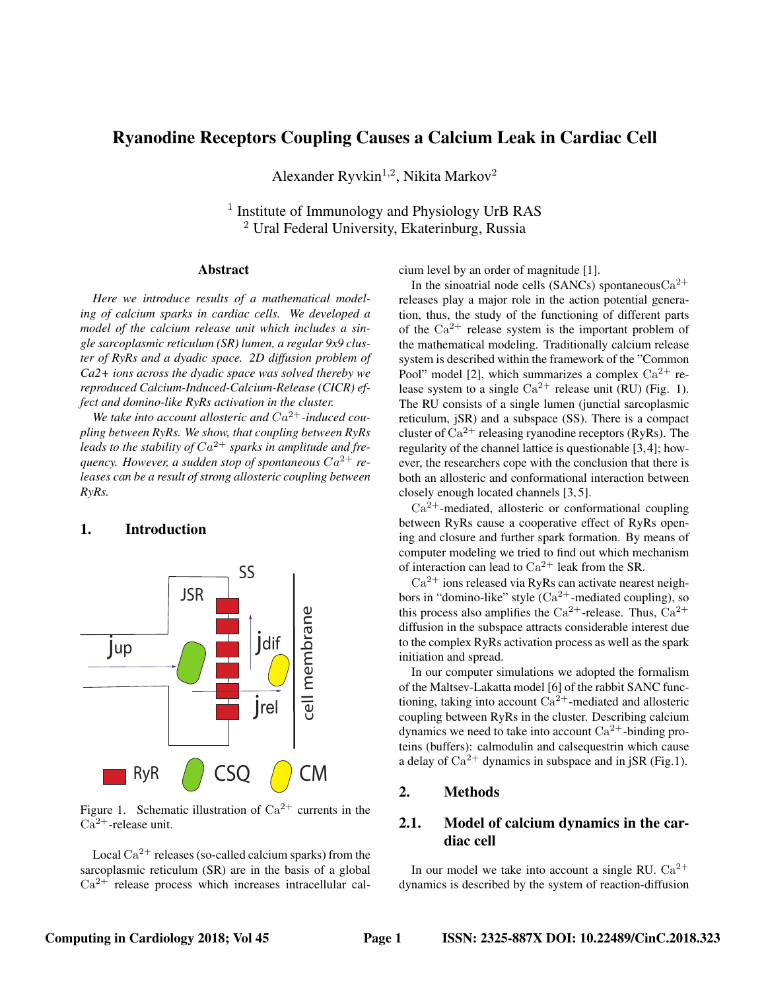# Ryanodine Receptors Coupling Causes a Calcium Leak in Cardiac Cell

Alexander Ryvkin<sup>1,2</sup>, Nikita Markov<sup>2</sup>

<sup>1</sup> Institute of Immunology and Physiology UrB RAS <sup>2</sup> Ural Federal University, Ekaterinburg, Russia

#### Abstract

*Here we introduce results of a mathematical modeling of calcium sparks in cardiac cells. We developed a model of the calcium release unit which includes a single sarcoplasmic reticulum (SR) lumen, a regular 9x9 cluster of RyRs and a dyadic space. 2D diffusion problem of Ca2+ ions across the dyadic space was solved thereby we reproduced Calcium-Induced-Calcium-Release (CICR) effect and domino-like RyRs activation in the cluster.*

We take into account allosteric and  $Ca^{2+}$ -induced cou*pling between RyRs. We show, that coupling between RyRs* leads to the stability of  $Ca^{2+}$  sparks in amplitude and frequency. However, a sudden stop of spontaneous  $Ca^{2+}$  *releases can be a result of strong allosteric coupling between RyRs.*

## 1. Introduction



Figure 1. Schematic illustration of  $Ca^{2+}$  currents in the  $Ca<sup>2+</sup>$ -release unit.

Local  $Ca^{2+}$  releases (so-called calcium sparks) from the sarcoplasmic reticulum (SR) are in the basis of a global  $Ca<sup>2+</sup>$  release process which increases intracellular calcium level by an order of magnitude [1].

In the sinoatrial node cells (SANCs) spontaneous  $Ca^{2+}$ releases play a major role in the action potential generation, thus, the study of the functioning of different parts of the  $Ca^{2+}$  release system is the important problem of the mathematical modeling. Traditionally calcium release system is described within the framework of the "Common Pool" model [2], which summarizes a complex  $Ca^{2+}$  release system to a single  $Ca^{2+}$  release unit (RU) (Fig. 1). The RU consists of a single lumen (junctial sarcoplasmic reticulum, jSR) and a subspace (SS). There is a compact cluster of  $Ca^{2+}$  releasing ryanodine receptors (RyRs). The regularity of the channel lattice is questionable [3,4]; however, the researchers cope with the conclusion that there is both an allosteric and conformational interaction between closely enough located channels [3, 5].

 $Ca<sup>2+</sup>$ -mediated, allosteric or conformational coupling between RyRs cause a cooperative effect of RyRs opening and closure and further spark formation. By means of computer modeling we tried to find out which mechanism of interaction can lead to  $Ca^{2+}$  leak from the SR.

 $Ca^{2+}$  ions released via RyRs can activate nearest neighbors in "domino-like" style  $(Ca^{2+})$ -mediated coupling), so this process also amplifies the  $Ca^{2+}$ -release. Thus,  $Ca^{2+}$ diffusion in the subspace attracts considerable interest due to the complex RyRs activation process as well as the spark initiation and spread.

In our computer simulations we adopted the formalism of the Maltsev-Lakatta model [6] of the rabbit SANC functioning, taking into account  $Ca^{2+}$ -mediated and allosteric coupling between RyRs in the cluster. Describing calcium dynamics we need to take into account  $Ca^{2+}$ -binding proteins (buffers): calmodulin and calsequestrin which cause a delay of  $Ca^{2+}$  dynamics in subspace and in jSR (Fig.1).

# 2. Methods

## 2.1. Model of calcium dynamics in the cardiac cell

In our model we take into account a single RU.  $Ca^{2+}$ dynamics is described by the system of reaction-diffusion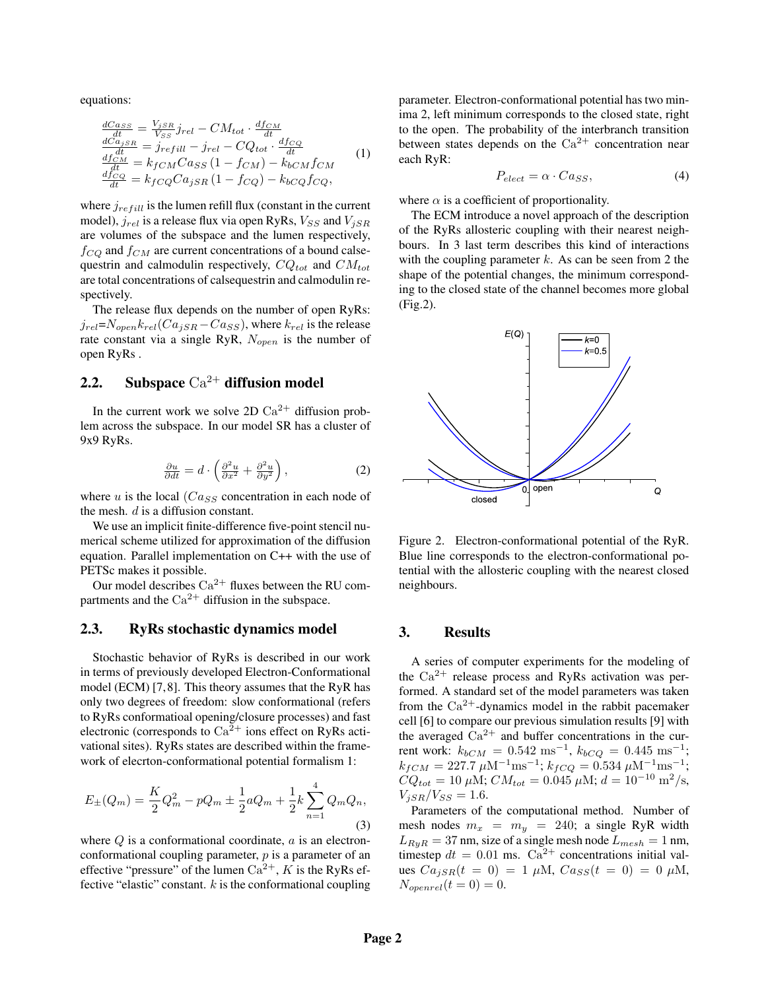equations:

$$
\frac{dC_{ass}}{dt} = \frac{V_{jSR}}{V_{SS}} j_{rel} - CM_{tot} \cdot \frac{df_{CM}}{dt}
$$
\n
$$
\frac{dC_{ajSR}}{dt} = j_{refill} - j_{rel} - CQ_{tot} \cdot \frac{df_{CQ}}{dt}
$$
\n
$$
\frac{df_{CM}}{dt} = k_{fCM} C a_{SS} (1 - f_{CM}) - k_{bCM} f_{CM}
$$
\n
$$
\frac{df_{CQ}}{dt} = k_{fCQ} C a_{jSR} (1 - f_{CQ}) - k_{bCQ} f_{CQ},
$$
\n(1)

where  $j_{refill}$  is the lumen refill flux (constant in the current model),  $j_{rel}$  is a release flux via open RyRs,  $V_{SS}$  and  $V_{iSR}$ are volumes of the subspace and the lumen respectively,  $f_{CO}$  and  $f_{CM}$  are current concentrations of a bound calsequestrin and calmodulin respectively,  $CQ_{tot}$  and  $CM_{tot}$ are total concentrations of calsequestrin and calmodulin respectively.

The release flux depends on the number of open RyRs:  $j_{rel} = N_{open} k_{rel} (Ca_{iSR} - Ca_{SS})$ , where  $k_{rel}$  is the release rate constant via a single RyR,  $N_{open}$  is the number of open RyRs .

# 2.2. Subspace  $Ca^{2+}$  diffusion model

In the current work we solve 2D  $Ca^{2+}$  diffusion problem across the subspace. In our model SR has a cluster of 9x9 RyRs.

$$
\frac{\partial u}{\partial dt} = d \cdot \left( \frac{\partial^2 u}{\partial x^2} + \frac{\partial^2 u}{\partial y^2} \right),\tag{2}
$$

where u is the local  $(Ca_{SS}$  concentration in each node of the mesh. d is a diffusion constant.

We use an implicit finite-difference five-point stencil numerical scheme utilized for approximation of the diffusion equation. Parallel implementation on C++ with the use of PETSc makes it possible.

Our model describes  $Ca^{2+}$  fluxes between the RU compartments and the  $Ca^{2+}$  diffusion in the subspace.

## 2.3. RyRs stochastic dynamics model

Stochastic behavior of RyRs is described in our work in terms of previously developed Electron-Conformational model (ECM) [7,8]. This theory assumes that the RyR has only two degrees of freedom: slow conformational (refers to RyRs conformatioal opening/closure processes) and fast electronic (corresponds to  $Ca^{2+}$  ions effect on RyRs activational sites). RyRs states are described within the framework of elecrton-conformational potential formalism 1:

$$
E_{\pm}(Q_m) = \frac{K}{2}Q_m^2 - pQ_m \pm \frac{1}{2}aQ_m + \frac{1}{2}k\sum_{n=1}^{4}Q_mQ_n,
$$
\n(3)

where  $Q$  is a conformational coordinate,  $a$  is an electronconformational coupling parameter,  $p$  is a parameter of an effective "pressure" of the lumen  $Ca^{2+}$ , K is the RyRs effective "elastic" constant.  $k$  is the conformational coupling parameter. Electron-conformational potential has two minima 2, left minimum corresponds to the closed state, right to the open. The probability of the interbranch transition between states depends on the  $Ca^{2+}$  concentration near each RyR:

$$
P_{elect} = \alpha \cdot C a_{SS},\tag{4}
$$

where  $\alpha$  is a coefficient of proportionality.

The ECM introduce a novel approach of the description of the RyRs allosteric coupling with their nearest neighbours. In 3 last term describes this kind of interactions with the coupling parameter  $k$ . As can be seen from 2 the shape of the potential changes, the minimum corresponding to the closed state of the channel becomes more global (Fig.2).



Figure 2. Electron-conformational potential of the RyR. Blue line corresponds to the electron-conformational potential with the allosteric coupling with the nearest closed neighbours.

## 3. Results

A series of computer experiments for the modeling of the  $Ca^{2+}$  release process and RyRs activation was performed. A standard set of the model parameters was taken from the  $Ca^{2+}$ -dynamics model in the rabbit pacemaker cell [6] to compare our previous simulation results [9] with the averaged  $Ca^{2+}$  and buffer concentrations in the current work:  $k_{bCM} = 0.542 \text{ ms}^{-1}$ ,  $k_{bCQ} = 0.445 \text{ ms}^{-1}$ ;  $k_{fCM} = 227.7 \ \mu \text{M}^{-1} \text{ms}^{-1}; k_{fCQ} = 0.534 \ \mu \text{M}^{-1} \text{ms}^{-1};$  $CQ_{tot} = 10 \ \mu \text{M}; \, CM_{tot} = 0.045 \ \mu \text{M}; \, d = 10^{-10} \ \text{m}^2/\text{s},$  $V_{iSR}/V_{SS} = 1.6.$ 

Parameters of the computational method. Number of mesh nodes  $m_x = m_y = 240$ ; a single RyR width  $L_{RyR} = 37$  nm, size of a single mesh node  $L_{mesh} = 1$  nm, timestep  $dt = 0.01$  ms.  $Ca^{2+}$  concentrations initial values  $Ca_{iSR}(t = 0) = 1 \mu M$ ,  $Ca_{SS}(t = 0) = 0 \mu M$ ,  $N_{openrel}(t=0) = 0.$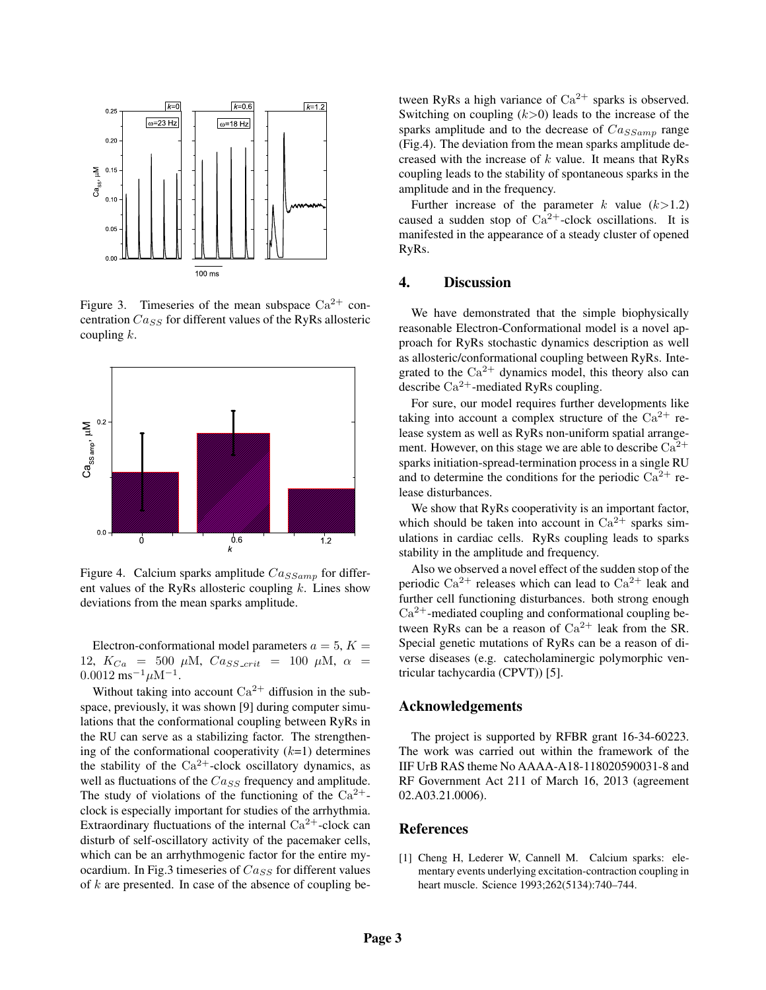

Figure 3. Timeseries of the mean subspace  $Ca^{2+}$  concentration  $Ca_{SS}$  for different values of the RyRs allosteric coupling  $k$ .



Figure 4. Calcium sparks amplitude  $Ca_{SSamp}$  for different values of the RyRs allosteric coupling  $k$ . Lines show deviations from the mean sparks amplitude.

Electron-conformational model parameters  $a = 5, K =$ 12,  $K_{Ca}$  = 500  $\mu$ M,  $Ca_{SS\_crit}$  = 100  $\mu$ M,  $\alpha$  =  $0.0012 \text{ ms}^{-1} \mu\text{M}^{-1}.$ 

Without taking into account  $Ca^{2+}$  diffusion in the subspace, previously, it was shown [9] during computer simulations that the conformational coupling between RyRs in the RU can serve as a stabilizing factor. The strengthening of the conformational cooperativity  $(k=1)$  determines the stability of the  $Ca^{2+}$ -clock oscillatory dynamics, as well as fluctuations of the  $Ca_{SS}$  frequency and amplitude. The study of violations of the functioning of the  $Ca^{2+}$ clock is especially important for studies of the arrhythmia. Extraordinary fluctuations of the internal  $Ca^{2+}$ -clock can disturb of self-oscillatory activity of the pacemaker cells, which can be an arrhythmogenic factor for the entire myocardium. In Fig.3 timeseries of  $Ca_{SS}$  for different values of  $k$  are presented. In case of the absence of coupling between RyRs a high variance of  $Ca^{2+}$  sparks is observed. Switching on coupling  $(k>0)$  leads to the increase of the sparks amplitude and to the decrease of  $Ca_{SSamp}$  range (Fig.4). The deviation from the mean sparks amplitude decreased with the increase of  $k$  value. It means that RyRs coupling leads to the stability of spontaneous sparks in the amplitude and in the frequency.

Further increase of the parameter k value  $(k>1.2)$ caused a sudden stop of  $Ca^{2+}$ -clock oscillations. It is manifested in the appearance of a steady cluster of opened RyRs.

#### 4. Discussion

We have demonstrated that the simple biophysically reasonable Electron-Conformational model is a novel approach for RyRs stochastic dynamics description as well as allosteric/conformational coupling between RyRs. Integrated to the  $Ca^{2+}$  dynamics model, this theory also can describe  $Ca^{2+}$ -mediated RyRs coupling.

For sure, our model requires further developments like taking into account a complex structure of the  $Ca^{2+}$  release system as well as RyRs non-uniform spatial arrangement. However, on this stage we are able to describe  $Ca^{2+}$ sparks initiation-spread-termination process in a single RU and to determine the conditions for the periodic  $Ca^{2+}$  release disturbances.

We show that RyRs cooperativity is an important factor, which should be taken into account in  $Ca^{2+}$  sparks simulations in cardiac cells. RyRs coupling leads to sparks stability in the amplitude and frequency.

Also we observed a novel effect of the sudden stop of the periodic  $Ca^{2+}$  releases which can lead to  $Ca^{2+}$  leak and further cell functioning disturbances. both strong enough  $Ca<sup>2+</sup>$ -mediated coupling and conformational coupling between RyRs can be a reason of  $Ca^{2+}$  leak from the SR. Special genetic mutations of RyRs can be a reason of diverse diseases (e.g. catecholaminergic polymorphic ventricular tachycardia (CPVT)) [5].

#### Acknowledgements

The project is supported by RFBR grant 16-34-60223. The work was carried out within the framework of the IIF UrB RAS theme No AAAA-A18-118020590031-8 and RF Government Act 211 of March 16, 2013 (agreement 02.A03.21.0006).

#### References

[1] Cheng H, Lederer W, Cannell M. Calcium sparks: elementary events underlying excitation-contraction coupling in heart muscle. Science 1993;262(5134):740–744.